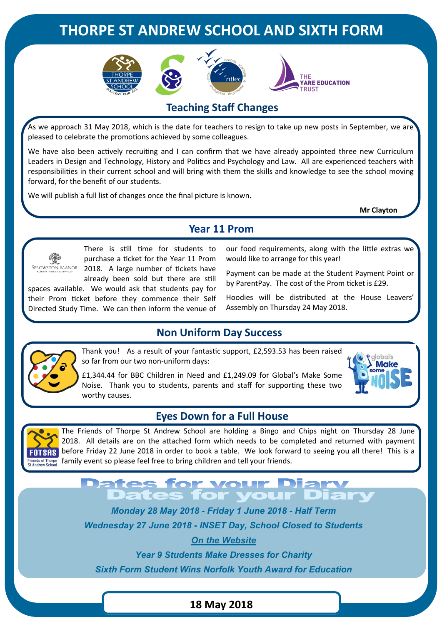# **THORPE ST ANDREW SCHOOL AND SIXTH FORM**









# **Teaching Staff Changes**

As we approach 31 May 2018, which is the date for teachers to resign to take up new posts in September, we are pleased to celebrate the promotions achieved by some colleagues.

We have also been actively recruiting and I can confirm that we have already appointed three new Curriculum Leaders in Design and Technology, History and Politics and Psychology and Law. All are experienced teachers with responsibilities in their current school and will bring with them the skills and knowledge to see the school moving forward, for the benefit of our students.

We will publish a full list of changes once the final picture is known.

**Mr Clayton**





There is still time for students to purchase a ticket for the Year 11 Prom SPROWSTON MANOR 2018. A large number of tickets have already been sold but there are still

spaces available. We would ask that students pay for their Prom ticket before they commence their Self Directed Study Time. We can then inform the venue of our food requirements, along with the little extras we would like to arrange for this year!

Payment can be made at the Student Payment Point or by ParentPay. The cost of the Prom ticket is £29.

Hoodies will be distributed at the House Leavers' Assembly on Thursday 24 May 2018.

## **Non Uniform Day Success**

Thank you! As a result of your fantastic support, £2,593.53 has been raised so far from our two non-uniform days:

£1,344.44 for BBC Children in Need and £1,249.09 for Global's Make Some Noise. Thank you to students, parents and staff for supporting these two worthy causes.



#### **Eyes Down for a Full House**



The Friends of Thorpe St Andrew School are holding a Bingo and Chips night on Thursday 28 June 2018. All details are on the attached form which needs to be completed and returned with payment FOTSAS before Friday 22 June 2018 in order to book a table. We look forward to seeing you all there! This is a Friends of Thorpe family event so please feel free to bring children and tell your friends.

# **Dates for your Diary<br>Dates for your Diar**

*Monday 28 May 2018 - Friday 1 June 2018 - Half Term Wednesday 27 June 2018 - INSET Day, School Closed to Students*

*On the Website*

*Year 9 Students Make Dresses for Charity*

*Sixth Form Student Wins Norfolk Youth Award for Education*

#### **18 May 2018**